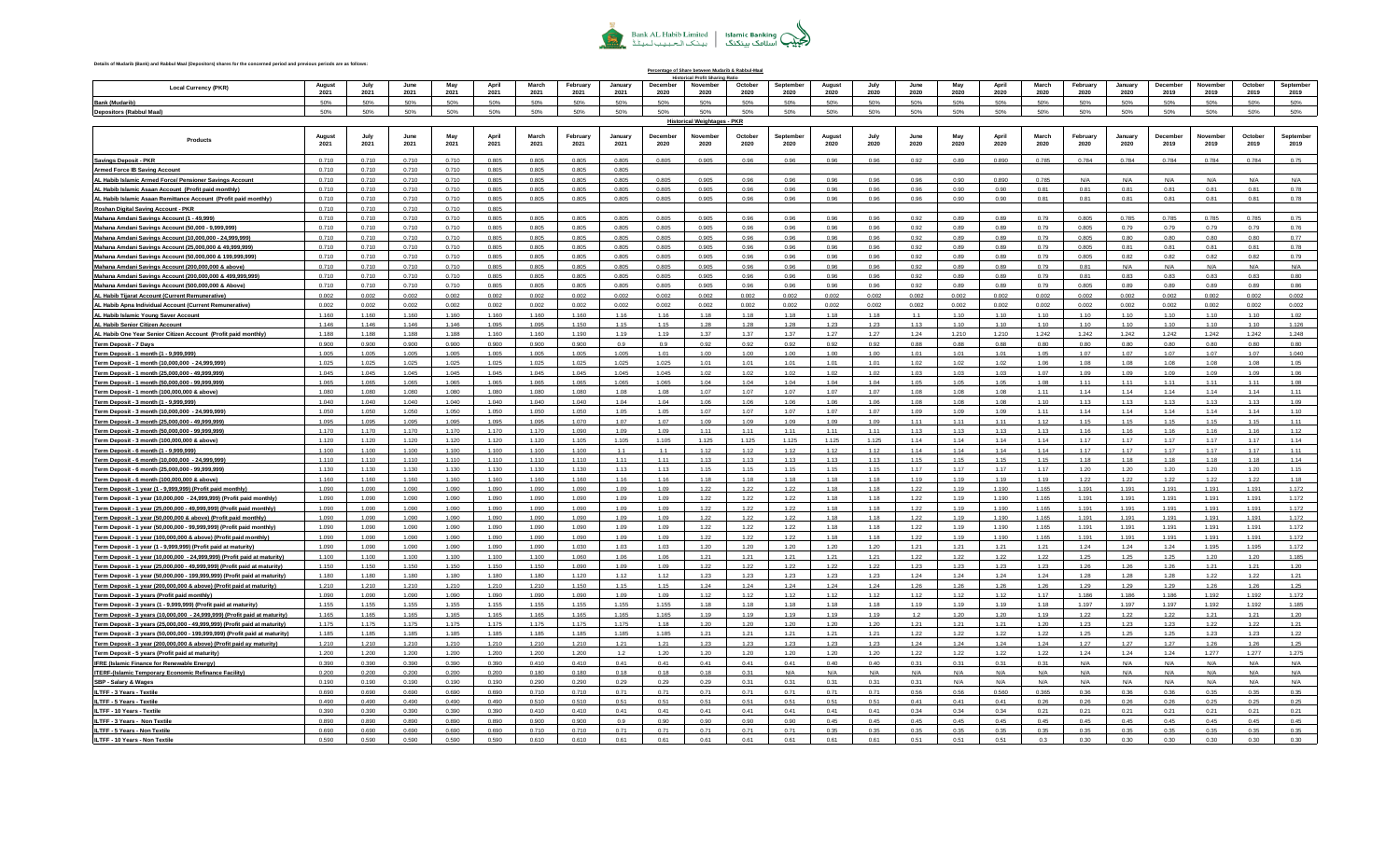

**Details of Mudarib (Bank) and Rabbul Maal (Depositors) shares for the concerned period and previous periods are as follows:**

**Local Currency (PKR) August 2021 July 2021 June 2021 May 2021 April 2021 March 2021 February 2021 January 2021 December 2020 November 2020 Octobe 2020 Septembe 2020 August 2020 July 2020 June 2020 May 2020 April 2020 March 2020 February 2020 January 2020 December 2019 November 2019 October 2019 Septembe 2019 Bank (Mudarib)** 50% 50% 50% 50% 50% 50% 50% 50% 50% 50% 50% 50% 50% 50% 50% 50% 50% 50% 50% 50% 50% 50% 50% 50% **Depositors (Rabbul Maal)** 50% 50% 50% 50% 50% 50% 50% 50% 50% 50% 50% 50% 50% 50% 50% 50% 50% 50% 50% 50% 50% 50% 50% 50% **Products August 2021 July 2021 June 2021 May 2021 April 2021 March 2021 February 2021 January 2021 December 2020 November 2020 October 2020 Septembe 2020 August 2020 July 2020 June 2020 May 2020 April 2020 March 2020 February 2020 January 2020 December 2019 November 2019 October 2019 Septemb 2019 Saving Account 0 - 999,999,999,999,998 Savings Deposit - PKR** 0.710 0.710 0.710 0.710 0.805 0.805 0.805 0.805 0.805 0.905 0.96 0.96 0.96 0.96 0.92 0.89 0.890 0.785 0.784 0.784 0.784 0.784 0.784 0.75 **ARMED FORCES -IB SAV 0 - 999,999,999,999,998 Armed Force IB Saving Account** 0.710 0.710 0.710 0.710 0.805 0.805 0.805 0.805 |ALHabib Islamic Armed Force/Pensioner Savings Account | 0.710 | 0.710 | 0.710 | 0.710 | 0.710 | 0.70 | 0.805 | 0.805 | 0.805 | 0.805 | 0.805 | 0.805 | 0.96 | 0.96 | 0.96 | 0.96 | 0.89 | 0.89 | 0.785 | NA | NA | NA | NA | **ASAAN AC IB-SAVING 0 - 999,999,999,999,998 AL Habib Islamic Asaan Account (Profit paid monthly)** 0.710 0.710 0.710 0.710 0.805 0.805 0.805 0.805 0.805 0.905 0.96 0.96 0.96 0.96 0.96 0.90 0.90 0.81 0.81 0.81 0.81 0.81 0.81 0.78 - Habib Islamic Asaan Remittance Account (Profit paid monthly) | 0.710 | 0.710 | 0.710 | 0.805 | 0.805 | 0.805 | 0.805 | 0.805 | 0.905 | 0.96 | 0.96 | 0.96 | 0.96 | 0.96 | 0.96 | 0.90 | 0.81 | 0.81 | 0.81 | 0.81 | 0.81 | 0 **IB RDA SAVING PRANCIPAL PRANCIPAL PRANCIPAL CONSUMING PRANCIPAL CONSUMING A SAVING A SAVING PRANCIPAL CONSUMING PRA** Mahana AmdaniSavings Account (1 -49,999) 0.710 0.710 0.710 0.710 0.805 0.805 0.805 0.805 0.905 0.96 0.96 0.96 0.99 0.89 0.79 0.79 0.705 0.785 0.785 0.785 0.785 0.785 0 Mahana Amdani Savings Account (50,000 -9,999,999) 0.710 0.710 0.710 0.710 0.805 0.805 0.805 0.805 0.96 0.96 0.96 0.96 0.89 0.79 0.79 0.79 0.79 0.79 0.79 0.79 0.79 0.79 0.7 ahana Amdani Savings Account (10.000.000 - 24.999.999) | 0.710 | 0.710 | 0.710 | 0.805 | 0.805 | 0.805 | 0.805 | 0.805 | 0.96 | 0.96 | 0.96 | 0.96 | 0.96 | 0.96 | 0.89 | 0.89 | 0.89 | 0.80 | 0.80 | 0.80 | 0.80 | 0.71 nana Amdani Savings Account (25,000,000 & 49,999,999) | 0.710 | 0.710 | 0.710 | 0.710 | 0.805 | 0.805 | 0.805 | 0.805 | 0.805 | 0.96 | 0.96 | 0.96 | 0.96 | 0.96 | 0.96 | 0.89 | 0.89 | 0.89 | 0.89 | 0.81 | 0.81 | 0.81 | 0.8 ahana Amdani <mark>Savings Account (50.000.000 & 199.999.999)</mark> 0.710 0.710 0.710 0.710 0.805 0.805 0.805 0.805 0.805 0.905 0.96 0.96 0.96 0.96 0.96 0.96 0.96 0.97 0.89 0.79 0.805 0.82 0.82 0.82 0.82 0.82 0.79<br>ahana Amdani Savin Mahana Amdani Savings Account (200,000,000 & above) 0.710 0.210 0.210 0.210 0.085 0.805 0.805 0.805 0.895 0.96 0.96 0.96 0.96 0.98 0.29 0.89 0.29 0.89 0.29 0.81 N/A Mahana AmdaniSavings Account (200,000,000,000 & 499,999,999) | 0.710 | 0.710 | 0.710 | 0.710 | 0.815 | 0.805 | 0.805 | 0.805 | 0.805 | 0.805 | 0.805 | 0.96 | 0.96 | 0.96 | 0.96 | 0.89 | 0.89 | 0.81 | 0.83 | 0.83 | 0.83 | 0 **Mahana Saving 0 - 999,999,999,999,998 Mahana Amdani Savings Account (500,000,000 & Above)** 0.710 0.710 0.710 0.710 0.805 0.805 0.805 0.805 0.805 0.905 0.96 0.96 0.96 0.96 0.92 0.89 0.89 0.79 0.805 0.89 0.89 0.89 0.89 0.86 |ALHabibTijarat Account (Current Remunerative) | 0.002 | 0.002 | 0.002 | 0.002 | 0.002 | 0.002 | 0.002 | 0.002 | 0.002 | 0.002 | 0.002 | 0.002 | 0.002 | 0.002 | 0.002 | 0.002 | 0.002 | 0.002 | 0.002 | 0.002 | 0.002 | **AH APNA INDVL AC-IBB 0 - 999,999,999,999,998 AL Habib Apna Individual Account (Current Remunerative)** 0.002 0.002 0.002 0.002 0.002 0.002 0.002 0.002 0.002 0.002 0.002 0.002 0.002 0.002 0.002 0.002 0.002 0.002 0.002 0.002 0.002 0.002 0.002 0.002 A**L Habib Islamic Young Saver Account** 1.160 | 1.160 | 1.160 | 1.160 | 1.160 | 1.160 | 1.160 | 1.160 | 1.16 | 1.18 | 1.18 | 1.18 | 1.18 | 1.18 | 1.10 | 1.10 | 1.10 | 1.10 | 1.10 | 1.10 | 1.10 | 1.10 | 1.10 | 1.10 | 1.10 | **Senior Citizen Islamic 0 - 999,999,999,999,998 AL Habib Senior Citizen Account**1.146 1.146 1.146 1.146 1.095 1.095 1.150 1.15 1.15 1.28 1.28 1.28 1.23 1.23 1.13 1.10 1.10 1.10 1.10 1.10 1.10 1.10 1.10 1.126 AL Habib One Year Senior Citizen Account (Profit paid monthly) | 1.188 | 1.188 | 1.188 | 1.188 | 1.188 | 1.188<br>AL Habib One Year Senior Citizen Account (Profit paid monthly) | 1.188 | 1.188 | 1.188 | 1.188 | 1.188 | 1.188 **NOTICE 7 DAYS PKR 0 - 999,999,999,999,998 Term Deposit - 7 Days** 0.900 0.900 0.900 0.900 0.900 0.900 0.900 0.9 0.9 0.92 0.92 0.92 0.92 0.92 0.88 0.88 0.88 0.80 0.80 0.80 0.80 0.80 0.80 0.80 **Term Deposit 1 Month 0 - 9,999,998 Term Deposit - 1 month (1 - 9,999,999)** 1.005 1.005 1.005 1.005 1.005 1.005 1.005 1.005 1.01 1.00 1.00 1.00 1.00 1.00 1.01 1.01 1.01 1.05 1.07 1.07 1.07 1.07 1.07 1.040 - Term Deposit -1 month (10,000,000 -24,999,999) 1.025 1.025 1.025 1.025 1.025 1.025 1.025 1.025 1.025 1.025 1.021 1.01 1.01 1.01 1.01 1.02 1.02 1.02 1.08 1.08 1.08 1. **Term Deposit 1 Month 24999999 - 49,999,998 Term Deposit - 1 month (25,000,000 - 49,999,999)** 1.045 1.045 1.045 1.045 1.045 1.045 1.045 1.045 1.045 1.02 1.02 1.02 1.02 1.02 1.03 1.03 1.03 1.07 1.09 1.09 1.09 1.09 1.09 1.06 .1.06 Term Deposit-1 month (50,000,000-99,999,999) 1.065 | 1.065 | 1.065 | 1.065 | 1.065 | 1.065 | 1.065 | 1.06 | 1.04 | 1.04 | 1.04 | 1.04 | 1.05 | 1.05 | 1.05 | 1.05 | 1.11 | 1.11 | 1.11 | 1.11 | 1.01 | 1.08 Porm Deposit -1 month (100,000,000,8above) 1.080 1.080 1.080 1.080 1.080 1.080 1.080 1.080 1.080 1.080 1.080 1.080 1.080 1.080 1.080 1.080 1.080 1.080 1.080 1 **Term Deposit 3 Month 0 - 9,999,997 Term Deposit - 3 month (1 - 9,999,999)** 1.040 1.040 1.040 1.040 1.040 1.040 1.040 1.04 1.04 1.06 1.06 1.06 1.06 1.06 1.08 1.08 1.08 1.10 1.13 1.13 1.13 1.13 1.13 1.09 Term Deposit-3 month (10,000,000 -24,999,999) 1.050 1.050 1.050 1.050 1.050 1.050 1.050 1.050 1.050 1.050 1.050 1.050 1.050 1.050 1.050 1.050 1.050 1.050 1.050 1.050 1.05 **Term Deposit 3 Month 24999999 - 49,999,998 Term Deposit - 3 month (25,000,000 - 49,999,999)** 1.095 1.095 1.095 1.095 1.095 1.095 1.070 1.07 1.07 1.09 1.09 1.09 1.09 1.09 1.11 1.11 1.11 1.12 1.15 1.15 1.15 1.15 1.15 1.11 |Term Deposit-3 month (50,000,000-99,999,999) | 1.170 | 1.170 | 1.170 | 1.170 | 1.170 | 1.170 | 1.170 | 1.170 | 1.170 | 1.170 | 1.170 | 1.170 | 1.170 | 1.170 | 1.170 | 1.170 | 1.170 | 1.170 | 1.09 | 1.09 | 1.09 | 1.09 | 1. |Term Deposit-3 month (100,000,000 & above) 1.120 | 1.120 | 1.120 | 1.120 | 1.120 | 1.120 | 1.120 | 1.125 | 1.125 | 1.125 | 1.125 | 1.125 | 1.125 | 1.125 | 1.14 | 1.14 | 1.14 | 1.17 | 1.17 | 1.17 | 1.17 | 1.17 | 1 **Term Deposit 6 Month 0 - 9,999,998 Term Deposit - 6 month (1 - 9,999,999)** 1.100 1.100 1.100 1.100 1.100 1.100 1.100 1.1 1.1 1.12 1.12 1.12 1.12 1.12 1.14 1.14 1.14 1.14 1.17 1.17 1.17 1.17 1.17 1.11 Porm Deposit 6 month (10,000,000 - 24,999,999) | 1.110 | 1.110 | 1.110 | 1.110 | 1.110 | 1.110 | 1.110 | 1.110 | 1.110 | 1.110 | 1.110 | 1.110 | 1.110 | 1.110 | 1.110 | 1.110 | 1.110 | 1.110 | 1.110 | 1.110 | 1.110 | |Term Deposit-6 month (25,000,000 -99,999,999) | 1.130 | 1.130 | 1.130 | 1.130 | 1.130 | 1.130 | 1.130 | 1.130 | 1.130 | 1.130 | 1.130 | 1.130 | 1.130 | 1.130 | 1.130 | 1.130 | 1.130 | 1.130 | 1.130 | 1.130 | 1.130 | 1.130 **Term Deposit 6 Month 99999999 - 999,999,999,999,998 Term Deposit - 6 month (100,000,000 & above)** 1.160 1.160 1.160 1.160 1.160 1.160 1.160 1.16 1.16 1.18 1.18 1.18 1.18 1.18 1.19 1.19 1.19 1.19 1.22 1.22 1.22 1.22 1.22 1.18 1.031 1.199 (1-9,999,999) (Profit paid monthly) ( 1.090 | 1.090 | 1.090 | 1.090 | 1.090 | 1.090 | 1.090 | 1.090 | 1.090 | 1.090 | 1.090 | 1.090 | 1.090 | 1.090 | 1.090 | 1.090 | 1.090 | 1.090 | 1.090 | 1.090 | 1.090 | 1.09 **Term Deposit 1 Year Monthly 0 - 999,999,999,999,998 Term Deposit - 1 year (10,000,000 - 24,999,999) (Profit paid monthly)** 1.090 1.090 1.090 1.090 1.090 1.090 1.090 1.09 1.09 1.22 1.22 1.22 1.18 1.18 1.22 1.19 1.190 1.165 1.191 1.191 1.191 1.191 1.191 1.172 | Term Deposit-1 year (25,000,000 -49,999,999) (Profit paid monthly) | 1.090 | 1.090 | 1.090 | 1.090 | 1.090 | 1.090 | 1.090 | 1.090 | 1.090 | 1.090 | 1.090 | 1.090 | 1.090 | 1.090 | 1.090 | 1.090 | 1.090 | 1.090 | 1.090 | **Term Deposit 1 Year Monthly 0 - 999,999,999,999,998 Term Deposit - 1 year (50,000,000 & above) (Profit paid monthly)** 1.090 1.090 1.090 1.090 1.090 1.090 1.090 1.09 1.09 1.22 1.22 1.22 1.18 1.18 1.22 1.19 1.190 1.165 1.191 1.191 1.191 1.191 1.191 1.172 |Term Deposit-1 vear (50.000.000 -99.999.9999) (Profit paid monthly) | 1.090 | 1.090 | 1.090 | 1.090 | 1.090 | 1.090 | 1.090 | 1.090 | 1.090 | 1.090 | 1.090 | 1.090 | 1.090 | 1.090 | 1.090 | 1.090 | 1.090 | 1.090 | 1.090 | .<br>1912 1912 1921 1922 1922 1939 1922 1.1930 1.094 1.194 1.194 1.194 1.195 1.195 1.195 1.195 1.197 1.197 1.197 1.<br>1912 1.192 1.1929 1.1929 1.1939 1.1939 1.194 1.194 1.194 1.194 1.194 1.195 1.195 1.195 1.197 1.199 1.090 1.09 1.195 1.196 1.196 1.196 1.196 1.196 1.196 1.196 1.197 1.198 1.198 1.199 1.090 1.090 1.090 1.090 1.090 1.090 1.090 1.090 1.090 1.090 1.090 1.090 1.090 1.090 1.090 1.090 1.090 1.090 1.090 1.090 1.090 1.090 1.090 1.090 1.090 |Term Deposit-1year (10,000,000 - 24,999,999) (Profit paid at maturity) | 1.100 | 1.100 | 1.100 | 1.100 | 1.100 | 1.00 | 1.00 | 1.00 | 1.100 | 1.100 | 1.100 | 1.100 | 1.100 | 1.00 | 1.00 | 1.00 | 1.00 | 1.00 | 1.00 | 1.00 **Term Deposit 1 Year 24999999 - 49,999,998 Term Deposit - 1 year (25,000,000 - 49,999,999) (Profit paid at maturity)** 1.150 1.150 1.150 1.150 1.150 1.150 1.090 1.09 1.09 1.22 1.22 1.22 1.22 1.22 1.23 1.23 1.23 1.23 1.26 1.26 1.26 1.21 1.21 1.20 | Term Denosit 1 vear (50.000.000 -199.999.999) (Profit paid at maturity) | 1.180 | 1.180 | 1.180 | 1.180 | 1.180 | 1.180 | 1.180 | 1.180 | 1.180 | 1.180 | 1.180 | 1.180 | 1.190 | 1.20 | 1.20 | 1.20 | 1.20 | 1.21 | 1.23 | Term Deposit -1 year (200,000,000,000 & above) (Profit paid at maturity) | 1.210 | 1.210 | 1.210 | 1.210 | 1.210 | 1.210 | 1.210 | 1.210 | 1.210 | 1.210 | 1.210 | 1.210 | 1.210 | 1.15 | 1.21 | 1.24 | 1.24 | 1.24 | 1.24 | 1 **Term Deposit 3 Year Monthly 0 - 999,999,999,999,998 Term Deposit - 3 years (Profit paid monthly)** 1.090 1.090 1.090 1.090 1.090 1.090 1.090 1.09 1.09 1.12 1.12 1.12 1.12 1.12 1.12 1.12 1.12 1.17 1.186 1.186 1.186 1.192 1.192 1.172 Term Deposit - 3 years (1 - 9,999,999) (Profit paid at maturity) 1.155 1.155 1.155 1.155 1.155 1.155 1.155 1.155 1.155 1.155 1.155 1.155 1.155 1.155 1.155 1.155 1.155 1.155 1.155 1.155 1.155 1.155 1.155 1.155 1.155 1.155 1 |<br>|Term Deposit - 3 years (10.000.000 - 24.999.999) (Profit paid at maturity) | 1.165 | 1.165 | 1.165 | 1.165 | 1.165 | 1.165 | 1.165 | 1.165 | 1.165 | 1.165 | 1.165 | 1.165 | 1.165 | 1.165 | 1.165 | 1.165 | 1.165 | 1.165 |Term Denosit -3 vears (25.000.000 -49.999.999) (Profit paid at maturity) | 1.175 | 1.175 | 1.175 | 1.175 | 1.175 | 1.175 | 1.175 | 1.175 | 1.175 | 1.175 | 1.175 | 1.175 | 1.175 | 1.175 | 1.175 | 1.175 | 1.175 | 1.175 | 1. Term Deposit - 3 years (50,000,000 - 199,999,999) (Profit paid at maturity) | 1.185 | 1.185 | 1.185 | 1.185 | 1.185 | 1.185 | 1.185 | 1.185 | 1.185 | 1.185 | 1.185 | 1.185 | 1.85 | 1.85 | 1.85 | 1.85 | 1.85 | 1.85 | 1.85 | | Term Deposit -3 year (200,000,000,000 & above) (Profit paid ay maturity) | 1,210 | 1,210 | 1,210 | 1,210 | 1,210 | 1,210 | 1,210 | 1,210 | 1,210 | 1,210 | 1,210 | 1,210 | 1,210 | 1,210 | 1,210 | 1,210 | 1,210 | 1,210 | 1 Term Deposit - 5 years (Profit paid at maturity) | 1.277 | 1.279 | 1.200 | 1.200 | 1.200 | 1.200 | 1.200 | 1.200 | 1.200 | 1.200 | 1.200 | 1.200 | 1.200 | 1.200 | 1.200 | 1.200 | 1.200 | 1.200 | 1.200 | 1.200 | 1.200 | 1.2 **BORROWING FROM SBP-IFRE 0 - 999,999,999,999,998 IFRE (Islamic Finance for Renewable Energy)** 0.390 0.390 0.390 0.390 0.390 0.410 0.410 0.41 0.41 0.41 0.41 0.41 0.40 0.40 0.31 0.31 0.31 0.31 N/A N/A N/A N/A N/A N/A |TERF-{Islamic Temporary Economic Refinance Facility) | 0.200 | 0.200 | 0.200 | 0.200 | 0.200 | 0.200 | 0.200 | 0.18 | 0.18 | 0.18 | 0.18 | 0.18 | 0.31 | N/A | N/A | N/A | N/A | N/A | N/A | N/A | N/A | N/A | N/A | N/A | N/ **BORROWNG SBP-IRF WAGE & SAL NF 0 - 999,999,999,999,998 SBP - Salary & Wages** 0.190 0.190 0.190 0.190 0.190 0.290 0.290 0.29 0.29 0.29 0.31 0.31 0.31 0.31 0.31 N/A N/A N/A N/A N/A N/A N/A N/A N/A **BORROWNG FRM SBP-ILTFF 3 YRS-T 0 -999,999,999,999,998 ILTFF - 3 Years - Textile** 0.690 0.690 0.690 0.690 0.690 0.710 0.710 0.71 0.71 0.71 0.71 0.71 0.71 0.71 0.56 0.56 0.560 0.365 0.36 0.36 0.36 0.35 0.35 0.35 **BORROWNG FRM SBP-ILTFF 5 YRS-T 0 - 999,999,999,999,998 ILTFF - 5 Years - Textile** 0.490 0.490 0.490 0.490 0.490 0.510 0.510 0.51 0.51 0.51 0.51 0.51 0.51 0.51 0.41 0.41 0.41 0.26 0.26 0.26 0.26 0.25 0.25 0.25 **BORROWNG FRM SBP-ILTFF 10YRS-T 0 - 999,999,999,999,998 ILTFF - 10 Years - Textile** 0.390 0.390 0.390 0.390 0.390 0.410 0.410 0.41 0.41 0.41 0.41 0.41 0.41 0.41 0.34 0.34 0.34 0.21 0.21 0.21 0.21 0.21 0.21 0.21 **BORROWNG FRM SBP-ILTFF 3 YRS-0 - 999,999,999,999,998 ILTFF - 3 Years - Non Textile** 0.890 0.890 0.890 0.890 0.890 0.900 0.900 0.9 0.90 0.90 0.90 0.90 0.45 0.45 0.45 0.45 0.45 0.45 0.45 0.45 0.45 0.45 0.45 0.45 **BORROWING FROM SBP ILTFF - 5 YRS 0 - 999,999,999,999,998 ILTFF - 5 Years - Non Textile** 0.690 0.690 0.690 0.690 0.690 0.710 0.710 0.71 0.71 0.71 0.71 0.71 0.35 0.35 0.35 0.35 0.35 0.35 0.35 0.35 0.35 0.35 0.35 0.35 **Percentage of Share between Mudarib & Rabbul-Maal Historical Profit Sharing Ratio Historical Weightages - PKR**

**BORROW FROM SBP ILTFF - 10 YRS 0 - 999,999,999,999,998 ILTFF - 10 Years - Non Textile** 0.590 0.590 0.590 0.590 0.590 0.610 0.610 0.61 0.61 0.61 0.61 0.61 0.61 0.61 0.51 0.51 0.51 0.3 0.30 0.30 0.30 0.30 0.30 0.30